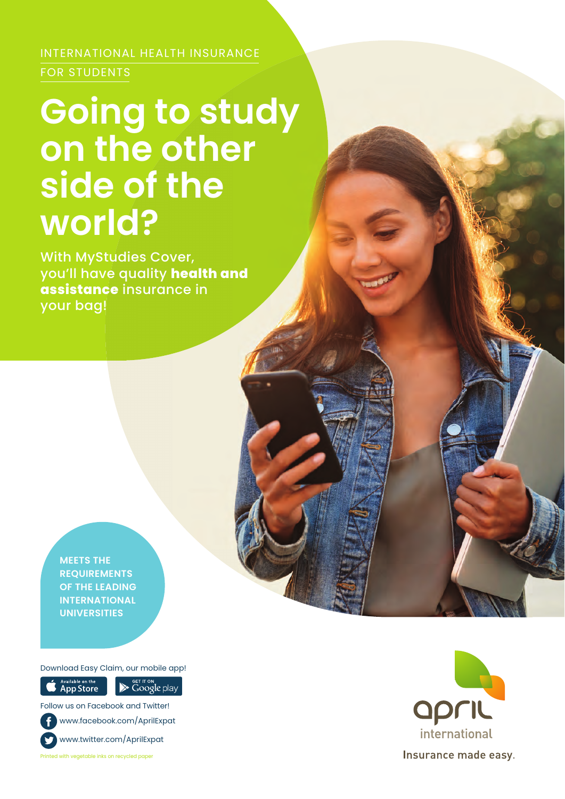INTERNATIONAL HEALTH INSURANCE FOR STUDENTS

# **Going to study on the other side of the world?**

With MyStudies Cover, you'll have quality **health and assistance** insurance in your bag!

**MEETS THE REQUIREMENTS OF THE LEADING INTERNATIONAL UNIVERSITIES**

Download Easy Claim, our mobile app!

**App Store** 

Google play

Follow us on Facebook and Twitter! www.facebook.com/AprilExpat www.twitter.com/AprilExpat

Printed with vegetable inks on recycled paper

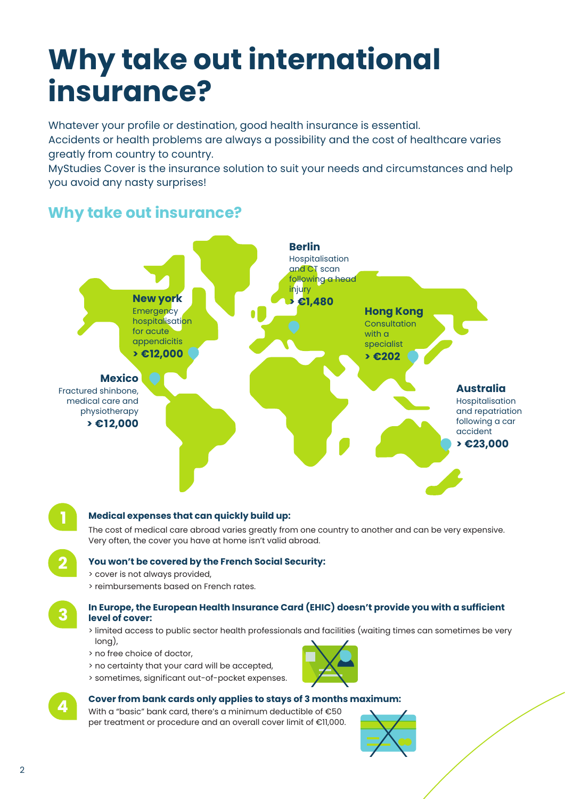# **Why take out international insurance?**

Whatever your profile or destination, good health insurance is essential.

Accidents or health problems are always a possibility and the cost of healthcare varies greatly from country to country.

MyStudies Cover is the insurance solution to suit your needs and circumstances and help you avoid any nasty surprises!

### **Why take out insurance?**



### **Medical expenses that can quickly build up:**

The cost of medical care abroad varies greatly from one country to another and can be very expensive. Very often, the cover you have at home isn't valid abroad.

### **You won't be covered by the French Social Security:**

- > cover is not always provided,
- > reimbursements based on French rates.

**3**

**4**

**2**

**1**

#### **In Europe, the European Health Insurance Card (EHIC) doesn't provide you with a sufficient level of cover:**

> limited access to public sector health professionals and facilities (waiting times can sometimes be very long),

- > no free choice of doctor,
- > no certainty that your card will be accepted,
- > sometimes, significant out-of-pocket expenses.

### **Cover from bank cards only applies to stays of 3 months maximum:**

With a "basic" bank card, there's a minimum deductible of €50 per treatment or procedure and an overall cover limit of €11,000.



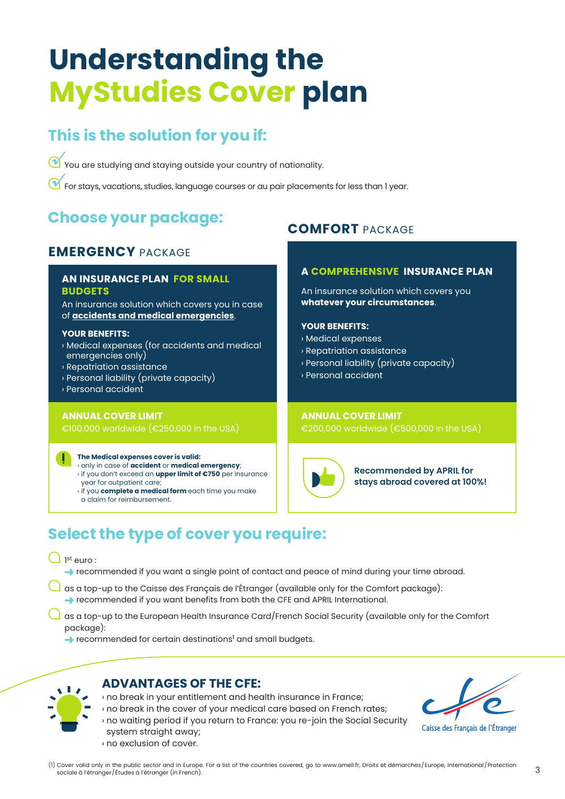# **Understanding the MyStudies Cover plan**

### **This is the solution for you if:**

You are studying and staying outside your country of nationality. *√*

For stays, vacations, studies, language courses or au pair placements for less than 1 year. *√*

### **Choose your package:**

### **EMERGENCY** PACKAGE

#### **AN INSURANCE PLAN FOR SMALL BUDGETS**

An insurance solution which covers you in case of **accidents and medical emergencies**.

#### **YOUR BENEFITS:**

- › Medical expenses (for accidents and medical emergencies only)
- › Repatriation assistance
- › Personal liability (private capacity)
- › Personal accident

#### **ANNUAL COVER LIMIT**

€100,000 worldwide (€250,000 in the USA)

#### **The Medical expenses cover is valid:**

- › only in case of **accident** or **medical emergency**;
- › if you don't exceed an **upper limit of €750** per insurance year for outpatient care;
- › if you **complete a medical form** each time you make a claim for reimbursement.

### **COMFORT** PACKAGE

#### **A COMPREHENSIVE INSURANCE PLAN**

An insurance solution which covers you **whatever your circumstances**.

#### **YOUR BENEFITS:**

- › Medical expenses
- › Repatriation assistance
- › Personal liability (private capacity)
- › Personal accident

#### **ANNUAL COVER LIMIT**

€200,000 worldwide (€500,000 in the USA)

**Recommended by APRIL for stays abroad covered at 100%!**

### **Select the type of cover you require:**

1 st euro :

→ recommended if you want a single point of contact and peace of mind during your time abroad.

- $\Box$  as a top-up to the Caisse des Français de l'Étranger (available only for the Comfort package): ➜ recommended if you want benefits from both the CFE and APRIL International.
- $\Box$  as a top-up to the European Health Insurance Card/French Social Security (available only for the Comfort package):
	- **→** recommended for certain destinations<sup>1</sup> and small budgets.

# $\sqrt{1}$

### **ADVANTAGES OF THE CFE:**

- › no break in your entitlement and health insurance in France;
- › no break in the cover of your medical care based on French rates;
- › no waiting period if you return to France: you re-join the Social Security system straight away;
- › no exclusion of cover.

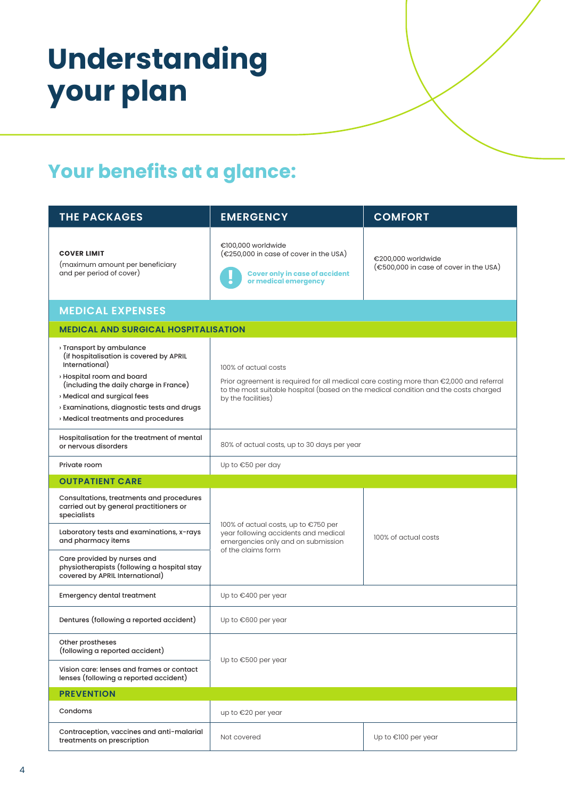# **Understanding your plan**

### **Your benefits at a glance:**

| <b>THE PACKAGES</b>                                                                                                                                                                                                                                                            | <b>EMERGENCY</b>                                                                                                                                                                                                            | <b>COMFORT</b>                                               |  |
|--------------------------------------------------------------------------------------------------------------------------------------------------------------------------------------------------------------------------------------------------------------------------------|-----------------------------------------------------------------------------------------------------------------------------------------------------------------------------------------------------------------------------|--------------------------------------------------------------|--|
| <b>COVER LIMIT</b><br>(maximum amount per beneficiary<br>and per period of cover)                                                                                                                                                                                              | €100,000 worldwide<br>$(\epsilon$ 250,000 in case of cover in the USA)<br><b>Cover only in case of accident</b><br>or medical emergency                                                                                     | €200,000 worldwide<br>(€500,000 in case of cover in the USA) |  |
| <b>MEDICAL EXPENSES</b>                                                                                                                                                                                                                                                        |                                                                                                                                                                                                                             |                                                              |  |
| <b>MEDICAL AND SURGICAL HOSPITALISATION</b>                                                                                                                                                                                                                                    |                                                                                                                                                                                                                             |                                                              |  |
| Transport by ambulance<br>(if hospitalisation is covered by APRIL<br>International)<br>› Hospital room and board<br>(including the daily charge in France)<br>» Medical and surgical fees<br>> Examinations, diagnostic tests and drugs<br>» Medical treatments and procedures | 100% of actual costs<br>Prior agreement is required for all medical care costing more than €2,000 and referral<br>to the most suitable hospital (based on the medical condition and the costs charged<br>by the facilities) |                                                              |  |
| Hospitalisation for the treatment of mental<br>or nervous disorders                                                                                                                                                                                                            | 80% of actual costs, up to 30 days per year                                                                                                                                                                                 |                                                              |  |
| Private room                                                                                                                                                                                                                                                                   | Up to €50 per day                                                                                                                                                                                                           |                                                              |  |
| <b>OUTPATIENT CARE</b>                                                                                                                                                                                                                                                         |                                                                                                                                                                                                                             |                                                              |  |
| Consultations, treatments and procedures<br>carried out by general practitioners or<br>specialists<br>Laboratory tests and examinations, x-rays<br>and pharmacy items                                                                                                          | 100% of actual costs, up to €750 per<br>year following accidents and medical<br>emergencies only and on submission<br>of the claims form                                                                                    | 100% of actual costs                                         |  |
| Care provided by nurses and<br>physiotherapists (following a hospital stay<br>covered by APRIL International)                                                                                                                                                                  |                                                                                                                                                                                                                             |                                                              |  |
| <b>Emergency dental treatment</b>                                                                                                                                                                                                                                              | Up to €400 per year                                                                                                                                                                                                         |                                                              |  |
| Dentures (following a reported accident)                                                                                                                                                                                                                                       | Up to €600 per year                                                                                                                                                                                                         |                                                              |  |
| Other prostheses<br>(following a reported accident)                                                                                                                                                                                                                            | Up to €500 per year                                                                                                                                                                                                         |                                                              |  |
| Vision care: lenses and frames or contact<br>lenses (following a reported accident)                                                                                                                                                                                            |                                                                                                                                                                                                                             |                                                              |  |
| <b>PREVENTION</b>                                                                                                                                                                                                                                                              |                                                                                                                                                                                                                             |                                                              |  |
| Condoms                                                                                                                                                                                                                                                                        | up to €20 per year                                                                                                                                                                                                          |                                                              |  |
| Contraception, vaccines and anti-malarial<br>treatments on prescription                                                                                                                                                                                                        | Not covered                                                                                                                                                                                                                 | Up to €100 per year                                          |  |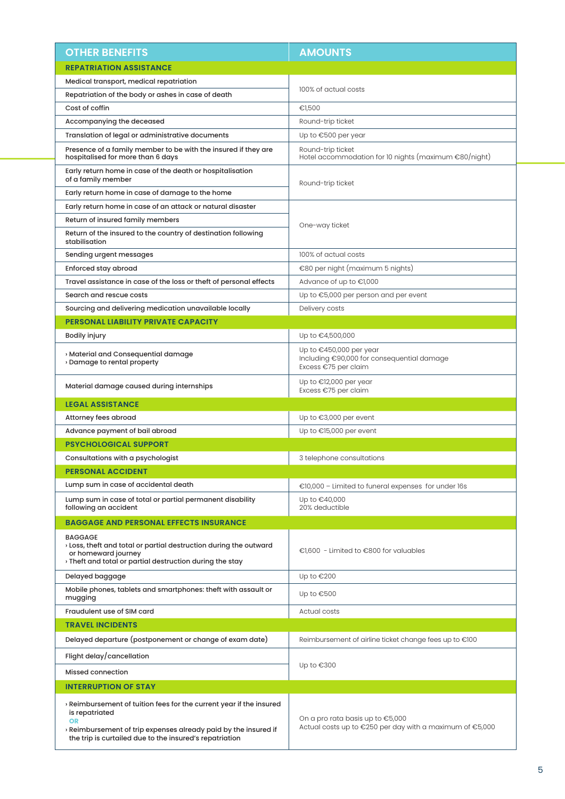| <b>OTHER BENEFITS</b>                                                                                                                                                                                                                   | <b>AMOUNTS</b>                                                                                  |  |  |
|-----------------------------------------------------------------------------------------------------------------------------------------------------------------------------------------------------------------------------------------|-------------------------------------------------------------------------------------------------|--|--|
| <b>REPATRIATION ASSISTANCE</b>                                                                                                                                                                                                          |                                                                                                 |  |  |
| Medical transport, medical repatriation                                                                                                                                                                                                 |                                                                                                 |  |  |
| Repatriation of the body or ashes in case of death                                                                                                                                                                                      | 100% of actual costs                                                                            |  |  |
| Cost of coffin                                                                                                                                                                                                                          | €1,500                                                                                          |  |  |
| Accompanying the deceased                                                                                                                                                                                                               | Round-trip ticket                                                                               |  |  |
| Translation of legal or administrative documents                                                                                                                                                                                        | Up to €500 per year                                                                             |  |  |
| Presence of a family member to be with the insured if they are<br>hospitalised for more than 6 days                                                                                                                                     | Round-trip ticket<br>Hotel accommodation for 10 nights (maximum €80/night)                      |  |  |
| Early return home in case of the death or hospitalisation<br>of a family member                                                                                                                                                         | Round-trip ticket                                                                               |  |  |
| Early return home in case of damage to the home                                                                                                                                                                                         |                                                                                                 |  |  |
| Early return home in case of an attack or natural disaster                                                                                                                                                                              | One-way ticket                                                                                  |  |  |
| Return of insured family members                                                                                                                                                                                                        |                                                                                                 |  |  |
| Return of the insured to the country of destination following<br>stabilisation                                                                                                                                                          |                                                                                                 |  |  |
| Sending urgent messages                                                                                                                                                                                                                 | 100% of actual costs                                                                            |  |  |
| Enforced stay abroad                                                                                                                                                                                                                    | €80 per night (maximum 5 nights)                                                                |  |  |
| Travel assistance in case of the loss or theft of personal effects                                                                                                                                                                      | Advance of up to €1,000                                                                         |  |  |
| Search and rescue costs                                                                                                                                                                                                                 | Up to €5,000 per person and per event                                                           |  |  |
| Sourcing and delivering medication unavailable locally                                                                                                                                                                                  | Delivery costs                                                                                  |  |  |
| <b>PERSONAL LIABILITY PRIVATE CAPACITY</b>                                                                                                                                                                                              |                                                                                                 |  |  |
| <b>Bodily injury</b>                                                                                                                                                                                                                    | Up to €4,500,000                                                                                |  |  |
| » Material and Consequential damage<br>Damage to rental property                                                                                                                                                                        | Up to $€450,000$ per year<br>Including €90,000 for consequential damage<br>Excess €75 per claim |  |  |
| Material damage caused during internships                                                                                                                                                                                               | Up to €12,000 per year<br>Excess €75 per claim                                                  |  |  |
| <b>LEGAL ASSISTANCE</b>                                                                                                                                                                                                                 |                                                                                                 |  |  |
| Attorney fees abroad                                                                                                                                                                                                                    | Up to €3,000 per event                                                                          |  |  |
| Advance payment of bail abroad                                                                                                                                                                                                          | Up to €15,000 per event                                                                         |  |  |
| <b>PSYCHOLOGICAL SUPPORT</b>                                                                                                                                                                                                            |                                                                                                 |  |  |
| Consultations with a psychologist                                                                                                                                                                                                       | 3 telephone consultations                                                                       |  |  |
| <b>PERSONAL ACCIDENT</b>                                                                                                                                                                                                                |                                                                                                 |  |  |
| Lump sum in case of accidental death                                                                                                                                                                                                    | €10,000 - Limited to funeral expenses for under 16s                                             |  |  |
| Lump sum in case of total or partial permanent disability<br>following an accident                                                                                                                                                      | Up to €40,000<br>20% deductible                                                                 |  |  |
| <b>BAGGAGE AND PERSONAL EFFECTS INSURANCE</b>                                                                                                                                                                                           |                                                                                                 |  |  |
| <b>BAGGAGE</b><br>> Loss, theft and total or partial destruction during the outward<br>or homeward journey<br>> Theft and total or partial destruction during the stay                                                                  | €1,600 - Limited to €800 for valuables                                                          |  |  |
| Delayed baggage                                                                                                                                                                                                                         | Up to €200                                                                                      |  |  |
| Mobile phones, tablets and smartphones: theft with assault or<br>mugging                                                                                                                                                                | Up to €500                                                                                      |  |  |
| Fraudulent use of SIM card                                                                                                                                                                                                              | Actual costs                                                                                    |  |  |
| <b>TRAVEL INCIDENTS</b>                                                                                                                                                                                                                 |                                                                                                 |  |  |
| Delayed departure (postponement or change of exam date)                                                                                                                                                                                 | Reimbursement of airline ticket change fees up to €100                                          |  |  |
| Flight delay/cancellation                                                                                                                                                                                                               | Up to €300                                                                                      |  |  |
| <b>Missed connection</b>                                                                                                                                                                                                                |                                                                                                 |  |  |
| <b>INTERRUPTION OF STAY</b>                                                                                                                                                                                                             |                                                                                                 |  |  |
| $\alpha$ Reimbursement of tuition fees for the current year if the insured<br>is repatriated<br><b>OR</b><br>> Reimbursement of trip expenses already paid by the insured if<br>the trip is curtailed due to the insured's repatriation | On a pro rata basis up to €5,000<br>Actual costs up to €250 per day with a maximum of €5,000    |  |  |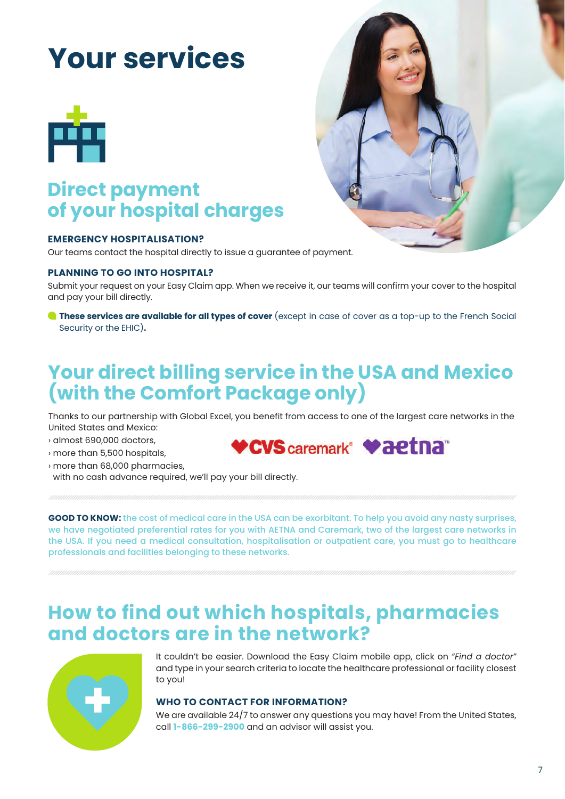# **Your services**



### **Direct payment of your hospital charges**

#### **EMERGENCY HOSPITALISATION?**

Our teams contact the hospital directly to issue a guarantee of payment.

#### **PLANNING TO GO INTO HOSPITAL?**

Submit your request on your Easy Claim app. When we receive it, our teams will confirm your cover to the hospital and pay your bill directly.

**These services are available for all types of cover** (except in case of cover as a top-up to the French Social Security or the EHIC)**.**

### **Your direct billing service in the USA and Mexico (with the Comfort Package only)**

Thanks to our partnership with Global Excel, you benefit from access to one of the largest care networks in the United States and Mexico:

- › almost 690,000 doctors,
- › more than 5,500 hospitals,
- › more than 68,000 pharmacies,

with no cash advance required, we'll pay your bill directly.

**GOOD TO KNOW:** the cost of medical care in the USA can be exorbitant. To help you avoid any nasty surprises, we have negotiated preferential rates for you with AETNA and Caremark, two of the largest care networks in the USA. If you need a medical consultation, hospitalisation or outpatient care, you must go to healthcare professionals and facilities belonging to these networks.

### **How to find out which hospitals, pharmacies and doctors are in the network?**



It couldn't be easier. Download the Easy Claim mobile app, click on *"Find a doctor"*  and type in your search criteria to locate the healthcare professional or facility closest to you!

**VCVS** caremark<sup>®</sup> Vaetna®

#### **WHO TO CONTACT FOR INFORMATION?**

We are available 24/7 to answer any questions you may have! From the United States, call **1-866-299-2900** and an advisor will assist you.

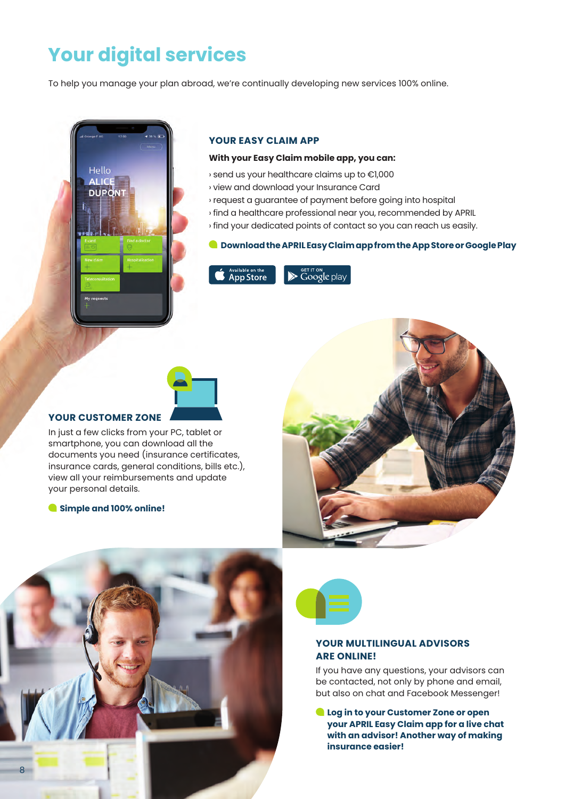### **Your digital services**

To help you manage your plan abroad, we're continually developing new services 100% online.



### **YOUR EASY CLAIM APP**

#### **With your Easy Claim mobile app, you can:**

› send us your healthcare claims up to €1,000

- › view and download your Insurance Card
- › request a guarantee of payment before going into hospital
- › find a healthcare professional near you, recommended by APRIL
- › find your dedicated points of contact so you can reach us easily.

#### **Download the APRIL Easy Claim app from the App Store or Google Play**



 $\blacktriangleright$   $\mathsf{Google}$  play

### **YOUR CUSTOMER ZONE**

In just a few clicks from your PC, tablet or smartphone, you can download all the documents you need (insurance certificates, insurance cards, general conditions, bills etc.), view all your reimbursements and update your personal details.

 **Simple and 100% online!**







#### **YOUR MULTILINGUAL ADVISORS ARE ONLINE!**

If you have any questions, your advisors can be contacted, not only by phone and email, but also on chat and Facebook Messenger!

 **Log in to your Customer Zone or open your APRIL Easy Claim app for a live chat with an advisor! Another way of making insurance easier!**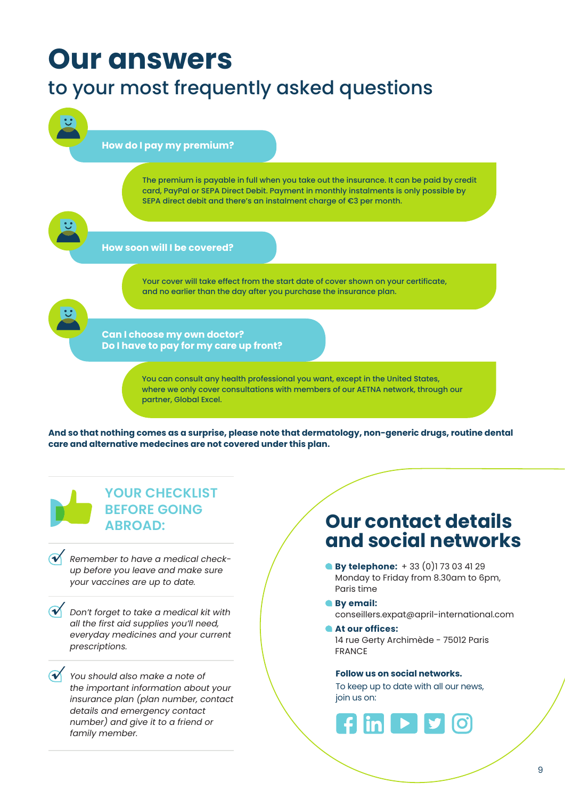## **Our answers**

### to your most frequently asked questions



**And so that nothing comes as a surprise, please note that dermatology, non-generic drugs, routine dental care and alternative medecines are not covered under this plan.** 

### **YOUR CHECKLIST BEFORE GOING ABROAD:**

*Remember to have a medical checkup before you leave and make sure your vaccines are up to date. √*

- *Don't forget to take a medical kit with √ all the first aid supplies you'll need, everyday medicines and your current prescriptions.*
- *You should also make a note of √ the important information about your insurance plan (plan number, contact details and emergency contact number) and give it to a friend or family member.*

### **Our contact details and social networks**

- **By telephone:**  $+ 33 (0)1 73 03 41 29$ Monday to Friday from 8.30am to 6pm, Paris time
- **By email:**
	- conseillers.expat@april-international.com
- **At our offices:** 14 rue Gerty Archimède - 75012 Paris FRANCE

#### **Follow us on social networks.**

To keep up to date with all our news, join us on:

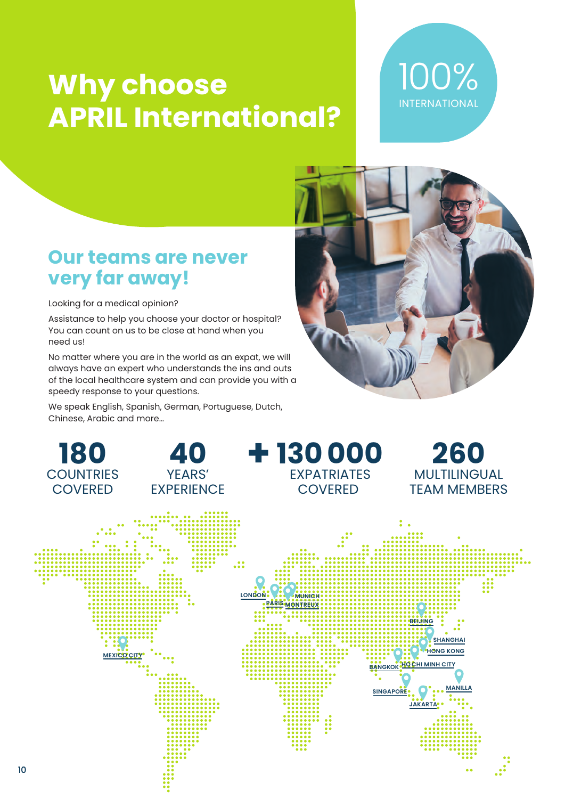# **Why choose APRIL International?**



### **Our teams are never very far away!**

Looking for a medical opinion?

Assistance to help you choose your doctor or hospital? You can count on us to be close at hand when you need us!

No matter where you are in the world as an expat, we will always have an expert who understands the ins and outs of the local healthcare system and can provide you with a speedy response to your questions.

We speak English, Spanish, German, Portuguese, Dutch, Chinese, Arabic and more…



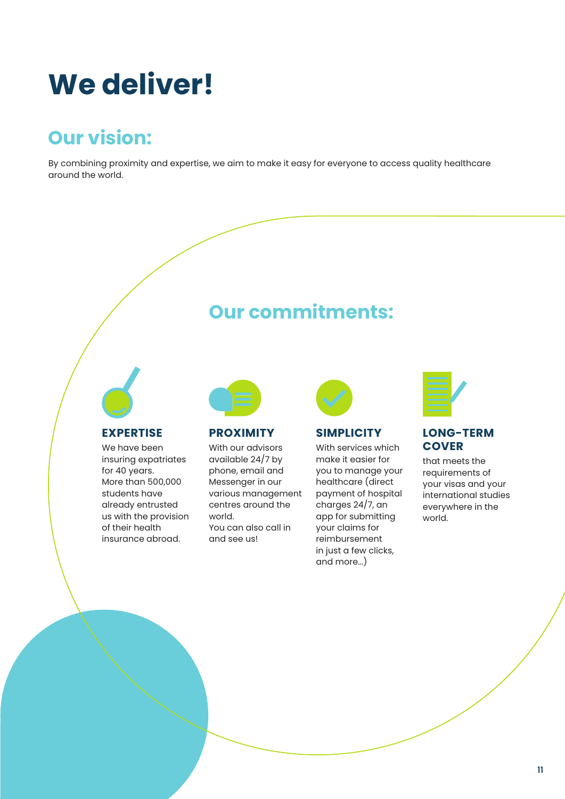# **We deliver!**

### **Our vision:**

By combining proximity and expertise, we aim to make it easy for everyone to access quality healthcare around the world.

### **Our commitments:**



### **EXPERTISE**

We have been insuring expatriates for 40 years. More than 500,000 students have already entrusted us with the provision of their health insurance abroad.



### **PROXIMITY**

With our advisors available 24/7 by phone, email and Messenger in our various management centres around the world. You can also call in and see us!



### **SIMPLICITY**

With services which make it easier for you to manage your healthcare (direct payment of hospital charges 24/7, an app for submitting your claims for reimbursement in just a few clicks, and more...)



### **LONG-TERM COVER**

that meets the requirements of your visas and your international studies everywhere in the world.